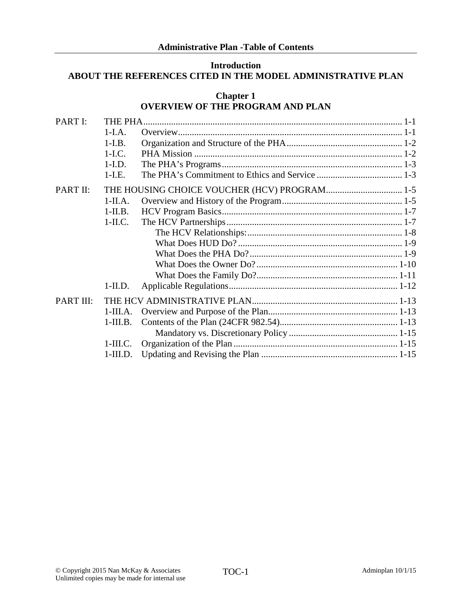### **Introduction ABOUT THE REFERENCES CITED IN THE MODEL ADMINISTRATIVE PLAN**

|                  |            | <b>Chapter 1</b><br><b>OVERVIEW OF THE PROGRAM AND PLAN</b> |  |
|------------------|------------|-------------------------------------------------------------|--|
| PART I:          | THE PHA    |                                                             |  |
|                  | $1-I.A.$   |                                                             |  |
|                  | $1-I.B.$   |                                                             |  |
|                  | $1-I.C.$   |                                                             |  |
|                  | $1-I.D.$   |                                                             |  |
|                  | $1-L.E.$   |                                                             |  |
| PART II:         |            |                                                             |  |
|                  | $1-IIA.$   |                                                             |  |
|                  | $1$ -II.B. |                                                             |  |
|                  | $1$ -II.C. |                                                             |  |
|                  |            |                                                             |  |
|                  |            |                                                             |  |
|                  |            |                                                             |  |
|                  |            |                                                             |  |
|                  |            |                                                             |  |
|                  | $1$ -II.D. |                                                             |  |
| <b>PART III:</b> |            |                                                             |  |
|                  | $1-III.A.$ |                                                             |  |
|                  | $1-III.B.$ |                                                             |  |
|                  |            |                                                             |  |
|                  | $1-III.C.$ |                                                             |  |
|                  | $1-III.D.$ |                                                             |  |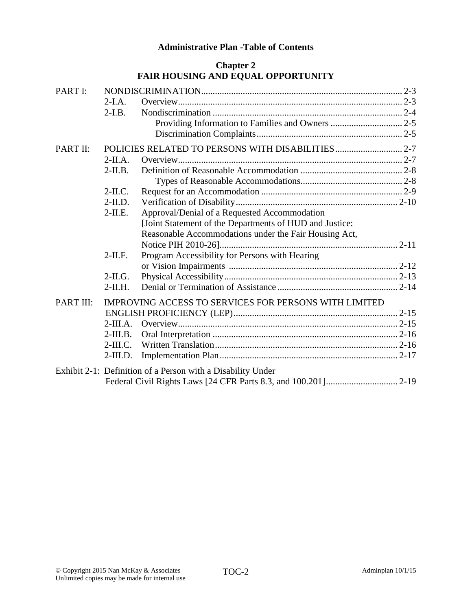### **Chapter 2 FAIR HOUSING AND EQUAL OPPORTUNITY**

| PART I:   |            |                                                             |  |
|-----------|------------|-------------------------------------------------------------|--|
|           | $2-I.A.$   |                                                             |  |
|           | $2-I.B.$   |                                                             |  |
|           |            |                                                             |  |
|           |            |                                                             |  |
| PART II:  |            |                                                             |  |
|           | $2-IIA.$   |                                                             |  |
|           | $2-II.B.$  |                                                             |  |
|           |            |                                                             |  |
|           | $2-II.C.$  |                                                             |  |
|           | $2-II.D.$  |                                                             |  |
|           | $2$ -II.E. | Approval/Denial of a Requested Accommodation                |  |
|           |            | [Joint Statement of the Departments of HUD and Justice:     |  |
|           |            | Reasonable Accommodations under the Fair Housing Act,       |  |
|           |            |                                                             |  |
|           | $2-II.F.$  | Program Accessibility for Persons with Hearing              |  |
|           |            |                                                             |  |
|           | $2-IL$ G.  |                                                             |  |
|           | $2-II.H.$  |                                                             |  |
| PART III: |            | IMPROVING ACCESS TO SERVICES FOR PERSONS WITH LIMITED       |  |
|           |            |                                                             |  |
|           | $2-III.A.$ |                                                             |  |
|           | $2-III.B.$ |                                                             |  |
|           |            |                                                             |  |
|           | $2-III.D.$ |                                                             |  |
|           |            | Exhibit 2-1: Definition of a Person with a Disability Under |  |
|           |            |                                                             |  |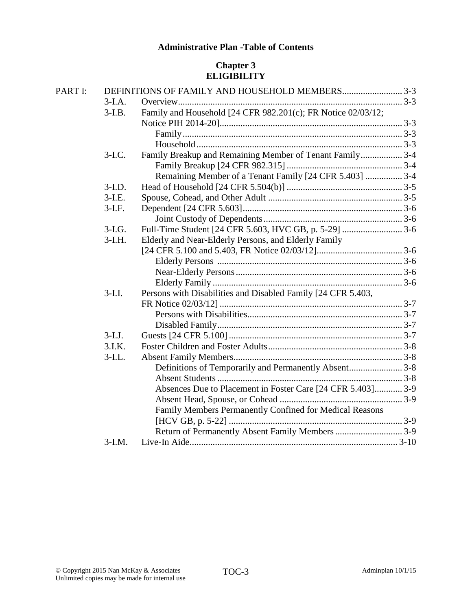# **Chapter 3 ELIGIBILITY**

| PART I: |           | DEFINITIONS OF FAMILY AND HOUSEHOLD MEMBERS3-3               |  |
|---------|-----------|--------------------------------------------------------------|--|
|         | $3-I.A.$  |                                                              |  |
|         | $3-I.B.$  | Family and Household [24 CFR 982.201(c); FR Notice 02/03/12; |  |
|         |           |                                                              |  |
|         |           |                                                              |  |
|         |           |                                                              |  |
|         | $3-I.C.$  | Family Breakup and Remaining Member of Tenant Family 3-4     |  |
|         |           |                                                              |  |
|         |           | Remaining Member of a Tenant Family [24 CFR 5.403]  3-4      |  |
|         | $3-I.D.$  |                                                              |  |
|         | $3-I.E.$  |                                                              |  |
|         | $3-I.F.$  |                                                              |  |
|         |           |                                                              |  |
|         | $3-I.G.$  |                                                              |  |
|         | $3-I.H.$  | Elderly and Near-Elderly Persons, and Elderly Family         |  |
|         |           |                                                              |  |
|         |           |                                                              |  |
|         |           |                                                              |  |
|         |           |                                                              |  |
|         | $3-I.I.$  | Persons with Disabilities and Disabled Family [24 CFR 5.403, |  |
|         |           |                                                              |  |
|         |           |                                                              |  |
|         |           |                                                              |  |
|         | $3-I.J.$  |                                                              |  |
|         | 3.I.K.    |                                                              |  |
|         | $3$ -I.L. |                                                              |  |
|         |           | Definitions of Temporarily and Permanently Absent3-8         |  |
|         |           |                                                              |  |
|         |           | Absences Due to Placement in Foster Care [24 CFR 5.403] 3-9  |  |
|         |           |                                                              |  |
|         |           | Family Members Permanently Confined for Medical Reasons      |  |
|         |           |                                                              |  |
|         |           | Return of Permanently Absent Family Members 3-9              |  |
|         | $3-I.M.$  |                                                              |  |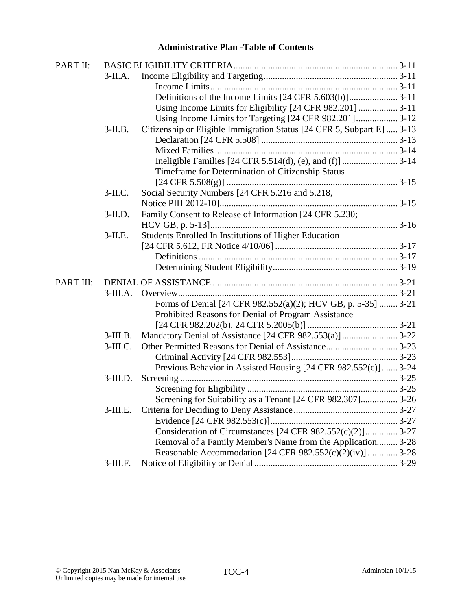| PART II:  |             |                                                                        |
|-----------|-------------|------------------------------------------------------------------------|
|           | $3$ -II.A.  |                                                                        |
|           |             |                                                                        |
|           |             |                                                                        |
|           |             |                                                                        |
|           |             |                                                                        |
|           | $3$ -II.B.  | Citizenship or Eligible Immigration Status [24 CFR 5, Subpart E]  3-13 |
|           |             |                                                                        |
|           |             |                                                                        |
|           |             |                                                                        |
|           |             | Timeframe for Determination of Citizenship Status                      |
|           |             |                                                                        |
|           | $3-II.C.$   | Social Security Numbers [24 CFR 5.216 and 5.218,                       |
|           |             |                                                                        |
|           | $3$ -II.D.  | Family Consent to Release of Information [24 CFR 5.230;                |
|           |             |                                                                        |
|           | $3$ -II.E.  | Students Enrolled In Institutions of Higher Education                  |
|           |             |                                                                        |
|           |             |                                                                        |
|           |             |                                                                        |
| PART III: |             |                                                                        |
|           | $3-III.A.$  |                                                                        |
|           |             | Forms of Denial [24 CFR 982.552(a)(2); HCV GB, p. 5-35]  3-21          |
|           |             | Prohibited Reasons for Denial of Program Assistance                    |
|           |             |                                                                        |
|           | $3$ -III.B. | Mandatory Denial of Assistance [24 CFR 982.553(a)]  3-22               |
|           | $3$ -III.C. |                                                                        |
|           |             |                                                                        |
|           |             | Previous Behavior in Assisted Housing [24 CFR 982.552(c)] 3-24         |
|           | $3$ -III.D. |                                                                        |
|           |             |                                                                        |
|           |             | Screening for Suitability as a Tenant [24 CFR 982.307] 3-26            |
|           | $3$ -III.E. |                                                                        |
|           |             |                                                                        |
|           |             | Consideration of Circumstances [24 CFR 982.552(c)(2)] 3-27             |
|           |             | Removal of a Family Member's Name from the Application 3-28            |
|           |             | Reasonable Accommodation [24 CFR 982.552(c)(2)(iv)]  3-28              |
|           | $3$ -III.F. |                                                                        |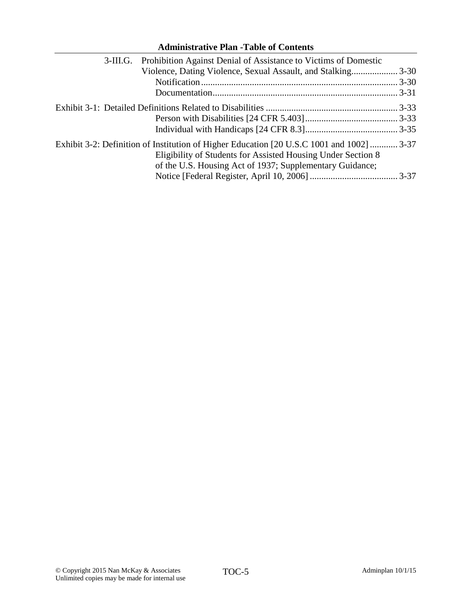| <b>Administrative Plan -Table of Contents</b>                                                                                                                                                                         |  |
|-----------------------------------------------------------------------------------------------------------------------------------------------------------------------------------------------------------------------|--|
| Prohibition Against Denial of Assistance to Victims of Domestic<br>3-III.G.                                                                                                                                           |  |
|                                                                                                                                                                                                                       |  |
|                                                                                                                                                                                                                       |  |
|                                                                                                                                                                                                                       |  |
|                                                                                                                                                                                                                       |  |
|                                                                                                                                                                                                                       |  |
|                                                                                                                                                                                                                       |  |
| Exhibit 3-2: Definition of Institution of Higher Education [20 U.S.C 1001 and 1002]  3-37<br>Eligibility of Students for Assisted Housing Under Section 8<br>of the U.S. Housing Act of 1937; Supplementary Guidance; |  |
|                                                                                                                                                                                                                       |  |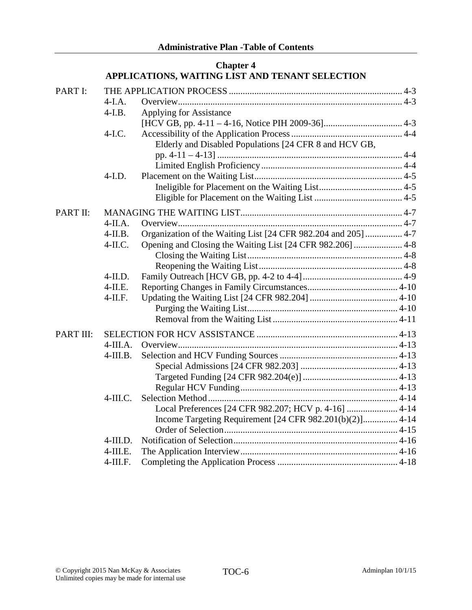|           |             | Спарки -<br>APPLICATIONS, WAITING LIST AND TENANT SELECTION    |  |
|-----------|-------------|----------------------------------------------------------------|--|
| PART I:   |             |                                                                |  |
|           | $4-I.A.$    |                                                                |  |
|           | $4-I.B.$    | Applying for Assistance                                        |  |
|           |             |                                                                |  |
|           | $4-I.C.$    |                                                                |  |
|           |             | Elderly and Disabled Populations [24 CFR 8 and HCV GB,         |  |
|           |             |                                                                |  |
|           |             |                                                                |  |
|           | $4-I.D.$    |                                                                |  |
|           |             |                                                                |  |
|           |             |                                                                |  |
| PART II:  |             |                                                                |  |
|           | $4-IIA.$    |                                                                |  |
|           | $4$ -II.B.  | Organization of the Waiting List [24 CFR 982.204 and 205]  4-7 |  |
|           | $4$ -II.C.  |                                                                |  |
|           |             |                                                                |  |
|           |             |                                                                |  |
|           | $4$ -II.D.  |                                                                |  |
|           | $4$ -II.E.  |                                                                |  |
|           | $4$ -II.F.  |                                                                |  |
|           |             |                                                                |  |
|           |             |                                                                |  |
| PART III: |             |                                                                |  |
|           | $4$ -III.A. |                                                                |  |
|           | $4$ -III.B. |                                                                |  |
|           |             |                                                                |  |
|           |             |                                                                |  |
|           |             |                                                                |  |
|           | $4-III.C.$  |                                                                |  |
|           |             | Local Preferences [24 CFR 982.207; HCV p. 4-16]  4-14          |  |
|           |             | Income Targeting Requirement [24 CFR 982.201(b)(2)] 4-14       |  |
|           |             |                                                                |  |
|           | $4$ -III.D. |                                                                |  |
|           | $4$ -III.E. |                                                                |  |
|           | $4-III.F.$  |                                                                |  |

# **Chapter 4**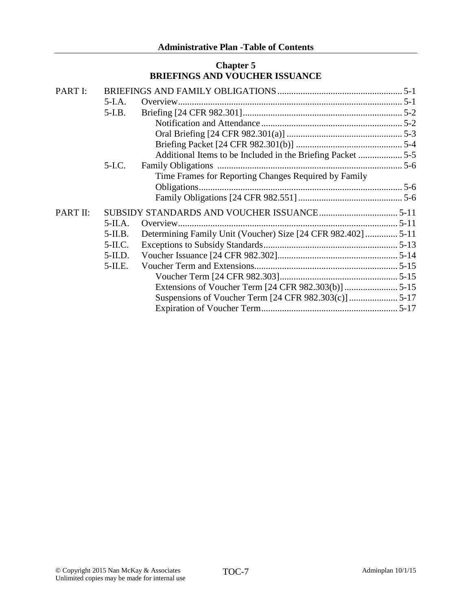### **Chapter 5 BRIEFINGS AND VOUCHER ISSUANCE**

| PART I:  |            |                                                              |  |
|----------|------------|--------------------------------------------------------------|--|
|          | $5-I.A.$   |                                                              |  |
|          | $5-I.B.$   |                                                              |  |
|          |            |                                                              |  |
|          |            |                                                              |  |
|          |            |                                                              |  |
|          |            | Additional Items to be Included in the Briefing Packet 5-5   |  |
|          | $5-I.C.$   |                                                              |  |
|          |            | Time Frames for Reporting Changes Required by Family         |  |
|          |            |                                                              |  |
|          |            |                                                              |  |
| PART II: |            |                                                              |  |
|          | $5-IIA.$   |                                                              |  |
|          | $5$ -II.B. | Determining Family Unit (Voucher) Size [24 CFR 982.402] 5-11 |  |
|          | $5-IL$ C.  |                                                              |  |
|          | $5-II.D.$  |                                                              |  |
|          | $5$ -II.E. |                                                              |  |
|          |            |                                                              |  |
|          |            |                                                              |  |
|          |            |                                                              |  |
|          |            |                                                              |  |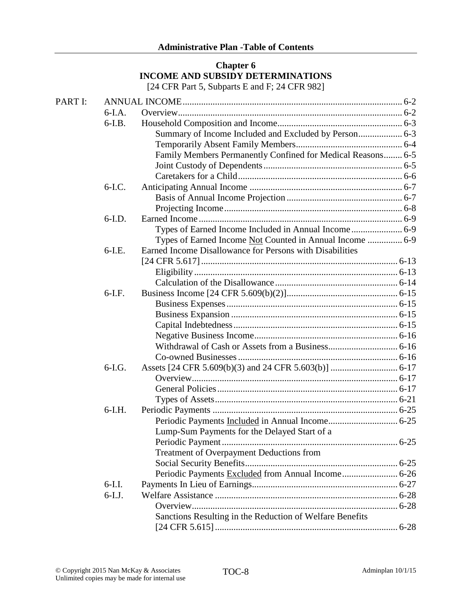### **Chapter 6 INCOME AND SUBSIDY DETERMINATIONS** [24 CFR Part 5, Subparts E and F; 24 CFR 982]

| PART I: |          |                                                             |  |
|---------|----------|-------------------------------------------------------------|--|
|         | $6-I.A.$ |                                                             |  |
|         | $6-I.B.$ |                                                             |  |
|         |          |                                                             |  |
|         |          |                                                             |  |
|         |          | Family Members Permanently Confined for Medical Reasons 6-5 |  |
|         |          |                                                             |  |
|         |          |                                                             |  |
|         | $6-I.C.$ |                                                             |  |
|         |          |                                                             |  |
|         |          |                                                             |  |
|         | $6-I.D.$ |                                                             |  |
|         |          |                                                             |  |
|         |          | Types of Earned Income Not Counted in Annual Income  6-9    |  |
|         | $6-I.E.$ | Earned Income Disallowance for Persons with Disabilities    |  |
|         |          |                                                             |  |
|         |          |                                                             |  |
|         |          |                                                             |  |
|         | $6-I.F.$ |                                                             |  |
|         |          |                                                             |  |
|         |          |                                                             |  |
|         |          |                                                             |  |
|         |          |                                                             |  |
|         |          |                                                             |  |
|         |          |                                                             |  |
|         | $6-I.G.$ |                                                             |  |
|         |          |                                                             |  |
|         |          |                                                             |  |
|         |          |                                                             |  |
|         | $6-I.H.$ |                                                             |  |
|         |          |                                                             |  |
|         |          | Lump-Sum Payments for the Delayed Start of a                |  |
|         |          |                                                             |  |
|         |          | Treatment of Overpayment Deductions from                    |  |
|         |          |                                                             |  |
|         |          |                                                             |  |
|         | $6-I.I.$ |                                                             |  |
|         | $6-I.J.$ |                                                             |  |
|         |          |                                                             |  |
|         |          | Sanctions Resulting in the Reduction of Welfare Benefits    |  |
|         |          |                                                             |  |
|         |          |                                                             |  |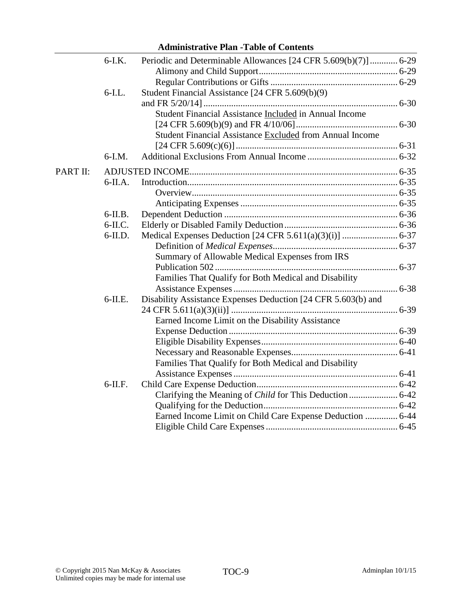|          | $6-I.K.$   | Periodic and Determinable Allowances [24 CFR 5.609(b)(7)]  6-29 |
|----------|------------|-----------------------------------------------------------------|
|          |            |                                                                 |
|          |            |                                                                 |
|          | $6$ -I.L.  | Student Financial Assistance [24 CFR 5.609(b)(9)                |
|          |            |                                                                 |
|          |            | Student Financial Assistance Included in Annual Income          |
|          |            |                                                                 |
|          |            | Student Financial Assistance Excluded from Annual Income        |
|          |            |                                                                 |
|          | $6-I.M.$   |                                                                 |
| PART II: |            |                                                                 |
|          | $6$ -II.A. |                                                                 |
|          |            |                                                                 |
|          |            |                                                                 |
|          | $6$ -II.B. |                                                                 |
|          | $6$ -II.C. |                                                                 |
|          | $6$ -II.D. |                                                                 |
|          |            |                                                                 |
|          |            | Summary of Allowable Medical Expenses from IRS                  |
|          |            |                                                                 |
|          |            | Families That Qualify for Both Medical and Disability           |
|          |            |                                                                 |
|          | $6$ -II.E. | Disability Assistance Expenses Deduction [24 CFR 5.603(b) and   |
|          |            |                                                                 |
|          |            | Earned Income Limit on the Disability Assistance                |
|          |            |                                                                 |
|          |            |                                                                 |
|          |            |                                                                 |
|          |            | Families That Qualify for Both Medical and Disability           |
|          |            |                                                                 |
|          | $6$ -II.F. |                                                                 |
|          |            |                                                                 |
|          |            |                                                                 |
|          |            | Earned Income Limit on Child Care Expense Deduction  6-44       |
|          |            |                                                                 |
|          |            |                                                                 |

# **Administrative Plan -Table of Contents**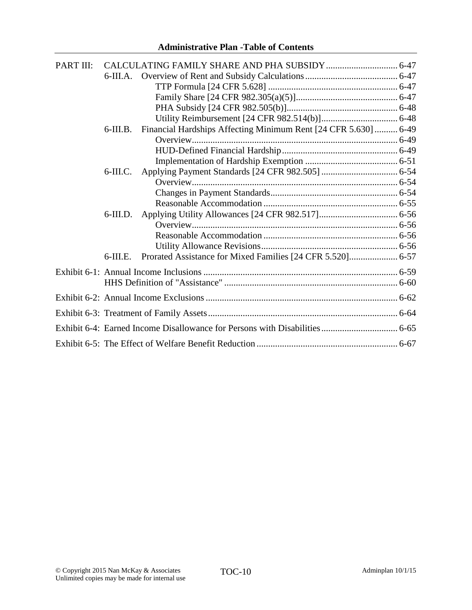| PART III: |             |                                                                 |  |
|-----------|-------------|-----------------------------------------------------------------|--|
|           |             |                                                                 |  |
|           |             |                                                                 |  |
|           |             |                                                                 |  |
|           |             |                                                                 |  |
|           |             |                                                                 |  |
|           |             |                                                                 |  |
|           | $6$ -III.B. | Financial Hardships Affecting Minimum Rent [24 CFR 5.630]  6-49 |  |
|           |             |                                                                 |  |
|           |             |                                                                 |  |
|           |             |                                                                 |  |
|           | $6$ -III.C. |                                                                 |  |
|           |             |                                                                 |  |
|           |             |                                                                 |  |
|           |             |                                                                 |  |
|           | $6$ -III.D. |                                                                 |  |
|           |             |                                                                 |  |
|           |             |                                                                 |  |
|           |             |                                                                 |  |
|           | $6$ -III.E. |                                                                 |  |
|           |             |                                                                 |  |
|           |             |                                                                 |  |
|           |             |                                                                 |  |
|           |             |                                                                 |  |
|           |             |                                                                 |  |
|           |             |                                                                 |  |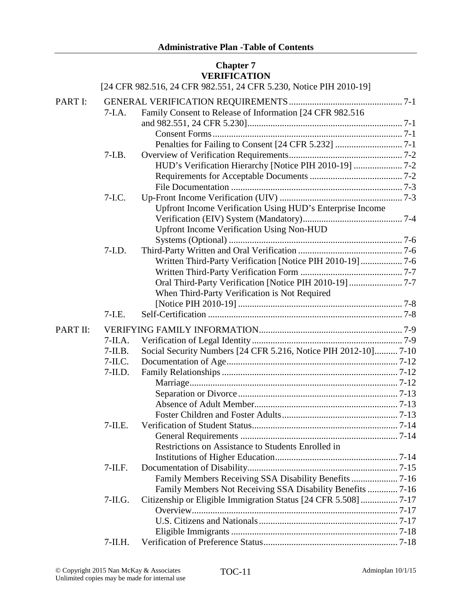### **Chapter 7 VERIFICATION**

|          |            | [24 CFR 982.516, 24 CFR 982.551, 24 CFR 5.230, Notice PIH 2010-19] |  |
|----------|------------|--------------------------------------------------------------------|--|
| PART I:  |            |                                                                    |  |
|          | $7-I.A.$   | Family Consent to Release of Information [24 CFR 982.516           |  |
|          |            |                                                                    |  |
|          |            |                                                                    |  |
|          |            |                                                                    |  |
|          | $7-I.B.$   |                                                                    |  |
|          |            | HUD's Verification Hierarchy [Notice PIH 2010-19] 7-2              |  |
|          |            |                                                                    |  |
|          |            |                                                                    |  |
|          | $7-I.C.$   |                                                                    |  |
|          |            | Upfront Income Verification Using HUD's Enterprise Income          |  |
|          |            |                                                                    |  |
|          |            | <b>Upfront Income Verification Using Non-HUD</b>                   |  |
|          |            |                                                                    |  |
|          | $7-I.D.$   |                                                                    |  |
|          |            | Written Third-Party Verification [Notice PIH 2010-19] 7-6          |  |
|          |            |                                                                    |  |
|          |            |                                                                    |  |
|          |            | When Third-Party Verification is Not Required                      |  |
|          |            |                                                                    |  |
|          | $7-I.E.$   |                                                                    |  |
| PART II: |            |                                                                    |  |
|          | $7-IIA.$   |                                                                    |  |
|          | $7-II.B.$  | Social Security Numbers [24 CFR 5.216, Notice PIH 2012-10] 7-10    |  |
|          | $7-II.C.$  |                                                                    |  |
|          | $7-II.D.$  |                                                                    |  |
|          |            |                                                                    |  |
|          |            |                                                                    |  |
|          |            |                                                                    |  |
|          |            |                                                                    |  |
|          | $7$ -II.E. |                                                                    |  |
|          |            |                                                                    |  |
|          |            | Restrictions on Assistance to Students Enrolled in                 |  |
|          |            |                                                                    |  |
|          | $7-II.F.$  |                                                                    |  |
|          |            |                                                                    |  |
|          |            | Family Members Not Receiving SSA Disability Benefits  7-16         |  |
|          | $7-ILG.$   |                                                                    |  |
|          |            |                                                                    |  |
|          |            |                                                                    |  |
|          |            |                                                                    |  |
|          | $7-II.H.$  |                                                                    |  |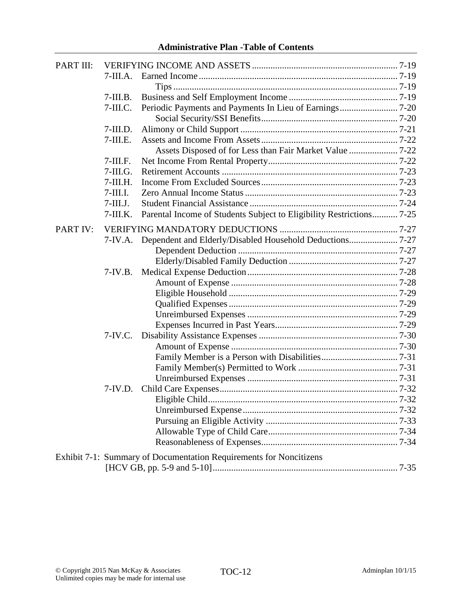| PART III: |             |                                                                      |  |
|-----------|-------------|----------------------------------------------------------------------|--|
|           | $7-III.A.$  |                                                                      |  |
|           |             |                                                                      |  |
|           | $7$ -III.B. |                                                                      |  |
|           | $7-III.C.$  |                                                                      |  |
|           |             |                                                                      |  |
|           | $7$ -III.D. |                                                                      |  |
|           | $7-III.E.$  |                                                                      |  |
|           |             |                                                                      |  |
|           | $7-III.F.$  |                                                                      |  |
|           | $7-III.G.$  |                                                                      |  |
|           | $7-III.H.$  |                                                                      |  |
|           | $7$ -III.I. |                                                                      |  |
|           | $7$ -III.J. |                                                                      |  |
|           | $7$ -III.K. | Parental Income of Students Subject to Eligibility Restrictions 7-25 |  |
| PART IV:  |             |                                                                      |  |
|           |             | 7-IV.A. Dependent and Elderly/Disabled Household Deductions 7-27     |  |
|           |             |                                                                      |  |
|           |             |                                                                      |  |
|           | $7-IV.B.$   |                                                                      |  |
|           |             |                                                                      |  |
|           |             |                                                                      |  |
|           |             |                                                                      |  |
|           |             |                                                                      |  |
|           |             |                                                                      |  |
|           | $7-IV.C.$   |                                                                      |  |
|           |             |                                                                      |  |
|           |             |                                                                      |  |
|           |             |                                                                      |  |
|           |             |                                                                      |  |
|           | $7-IV.D.$   |                                                                      |  |
|           |             |                                                                      |  |
|           |             |                                                                      |  |
|           |             |                                                                      |  |
|           |             |                                                                      |  |
|           |             |                                                                      |  |
|           |             | Exhibit 7-1: Summary of Documentation Requirements for Noncitizens   |  |
|           |             |                                                                      |  |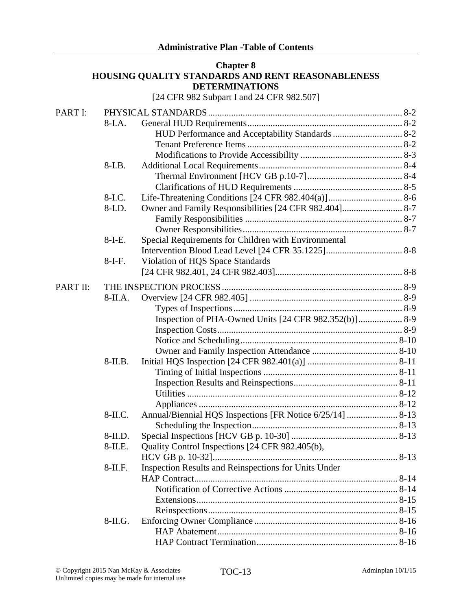#### **Chapter 8 HOUSING QUALITY STANDARDS AND RENT REASONABLENESS DETERMINATIONS**

[24 CFR 982 Subpart I and 24 CFR 982.507]

| PART I:  |            |                                                           |  |
|----------|------------|-----------------------------------------------------------|--|
|          | $8-I.A.$   |                                                           |  |
|          |            |                                                           |  |
|          |            |                                                           |  |
|          |            |                                                           |  |
|          | 8-I.B.     |                                                           |  |
|          |            |                                                           |  |
|          |            |                                                           |  |
|          | 8-I.C.     |                                                           |  |
|          | 8-I.D.     |                                                           |  |
|          |            |                                                           |  |
|          |            |                                                           |  |
|          | $8-I-E.$   | Special Requirements for Children with Environmental      |  |
|          |            |                                                           |  |
|          | $8-I-F.$   | Violation of HQS Space Standards                          |  |
|          |            |                                                           |  |
| PART II: |            |                                                           |  |
|          | $8-IIA.$   |                                                           |  |
|          |            |                                                           |  |
|          |            |                                                           |  |
|          |            |                                                           |  |
|          |            |                                                           |  |
|          |            |                                                           |  |
|          | $8-II.B.$  |                                                           |  |
|          |            |                                                           |  |
|          |            |                                                           |  |
|          |            |                                                           |  |
|          |            |                                                           |  |
|          | 8-II.C.    | Annual/Biennial HQS Inspections [FR Notice 6/25/14]  8-13 |  |
|          |            |                                                           |  |
|          | $8-II.D.$  |                                                           |  |
|          | 8-II.E.    | Quality Control Inspections [24 CFR 982.405(b),           |  |
|          |            |                                                           |  |
|          | $8$ -II.F. | Inspection Results and Reinspections for Units Under      |  |
|          |            |                                                           |  |
|          |            |                                                           |  |
|          |            |                                                           |  |
|          |            |                                                           |  |
|          |            |                                                           |  |
|          | 8-II.G.    |                                                           |  |
|          |            |                                                           |  |
|          |            |                                                           |  |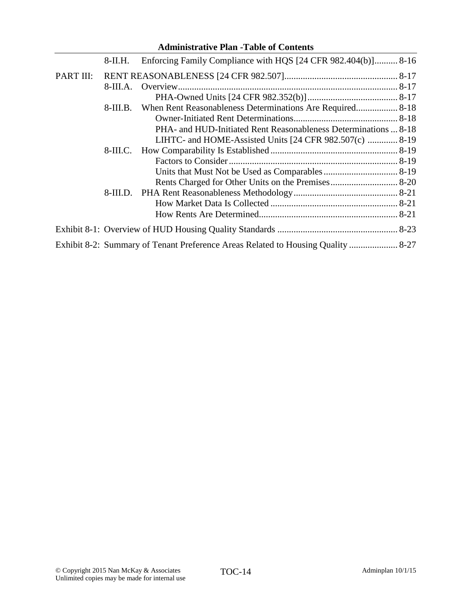| Administrative Pian - Lable of Contents |            |                                                                                  |  |
|-----------------------------------------|------------|----------------------------------------------------------------------------------|--|
|                                         | 8-II.H.    | Enforcing Family Compliance with HQS [24 CFR 982.404(b)] 8-16                    |  |
| PART III:                               |            |                                                                                  |  |
|                                         | $8-III.A.$ |                                                                                  |  |
|                                         |            |                                                                                  |  |
|                                         | $8-III.B.$ |                                                                                  |  |
|                                         |            |                                                                                  |  |
|                                         |            | PHA- and HUD-Initiated Rent Reasonableness Determinations  8-18                  |  |
|                                         |            | LIHTC- and HOME-Assisted Units [24 CFR 982.507(c)  8-19                          |  |
|                                         | $8-III.C.$ |                                                                                  |  |
|                                         |            |                                                                                  |  |
|                                         |            |                                                                                  |  |
|                                         |            |                                                                                  |  |
|                                         |            |                                                                                  |  |
|                                         |            |                                                                                  |  |
|                                         |            |                                                                                  |  |
|                                         |            |                                                                                  |  |
|                                         |            | Exhibit 8-2: Summary of Tenant Preference Areas Related to Housing Quality  8-27 |  |

# **Administrative Plan -Table of Contents**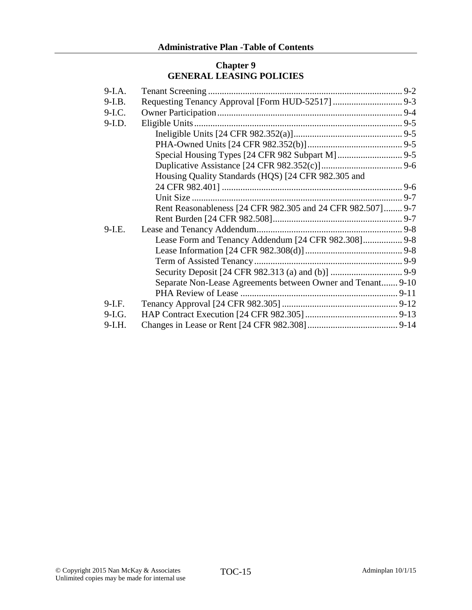### **Chapter 9 GENERAL LEASING POLICIES**

| $9-I.A.$ |                                                             |
|----------|-------------------------------------------------------------|
| $9-I.B.$ |                                                             |
| $9-I.C.$ |                                                             |
| $9-I.D.$ |                                                             |
|          |                                                             |
|          |                                                             |
|          |                                                             |
|          |                                                             |
|          | Housing Quality Standards (HQS) [24 CFR 982.305 and         |
|          |                                                             |
|          |                                                             |
|          | Rent Reasonableness [24 CFR 982.305 and 24 CFR 982.507] 9-7 |
|          |                                                             |
| $9-I.E.$ |                                                             |
|          | Lease Form and Tenancy Addendum [24 CFR 982.308] 9-8        |
|          |                                                             |
|          |                                                             |
|          |                                                             |
|          | Separate Non-Lease Agreements between Owner and Tenant 9-10 |
|          |                                                             |
| $9-I.F.$ |                                                             |
| $9-I.G.$ |                                                             |
| $9-I.H.$ |                                                             |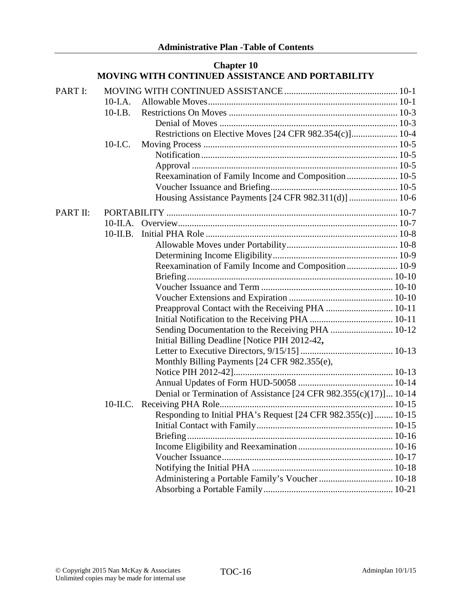|          |             | <b>Chapter 10</b><br>MOVING WITH CONTINUED ASSISTANCE AND PORTABILITY |  |
|----------|-------------|-----------------------------------------------------------------------|--|
| PART I:  |             |                                                                       |  |
|          | 10-I.A.     |                                                                       |  |
|          | $10-I.B.$   |                                                                       |  |
|          |             |                                                                       |  |
|          |             | Restrictions on Elective Moves [24 CFR 982.354(c)] 10-4               |  |
|          | $10-LC$ .   |                                                                       |  |
|          |             |                                                                       |  |
|          |             |                                                                       |  |
|          |             | Reexamination of Family Income and Composition 10-5                   |  |
|          |             |                                                                       |  |
|          |             | Housing Assistance Payments [24 CFR 982.311(d)]  10-6                 |  |
| PART II: |             |                                                                       |  |
|          | 10-II.A.    |                                                                       |  |
|          | $10$ -II.B. |                                                                       |  |
|          |             |                                                                       |  |
|          |             |                                                                       |  |
|          |             | Reexamination of Family Income and Composition  10-9                  |  |
|          |             |                                                                       |  |
|          |             |                                                                       |  |
|          |             |                                                                       |  |
|          |             | Preapproval Contact with the Receiving PHA  10-11                     |  |
|          |             |                                                                       |  |
|          |             | Sending Documentation to the Receiving PHA  10-12                     |  |
|          |             | Initial Billing Deadline [Notice PIH 2012-42,                         |  |
|          |             |                                                                       |  |
|          |             | Monthly Billing Payments [24 CFR 982.355(e),                          |  |
|          |             |                                                                       |  |
|          |             |                                                                       |  |
|          |             | Denial or Termination of Assistance [24 CFR 982.355(c)(17)] 10-14     |  |
|          |             |                                                                       |  |
|          |             | Responding to Initial PHA's Request [24 CFR 982.355(c)]  10-15        |  |
|          |             |                                                                       |  |
|          |             |                                                                       |  |
|          |             |                                                                       |  |
|          |             |                                                                       |  |
|          |             |                                                                       |  |
|          |             | Administering a Portable Family's Voucher  10-18                      |  |
|          |             |                                                                       |  |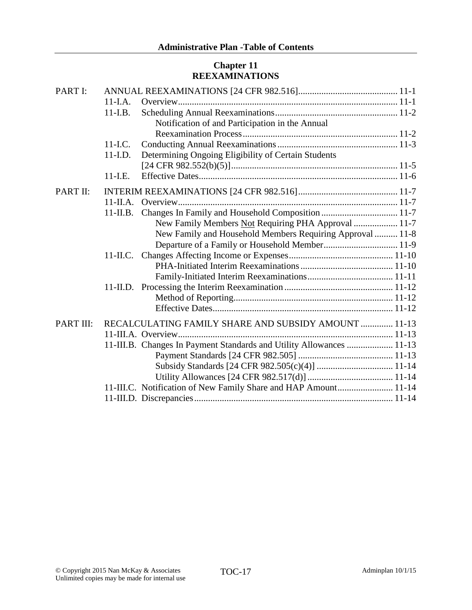# **Chapter 11 REEXAMINATIONS**

| PART I:                                                              |  |
|----------------------------------------------------------------------|--|
| $11-I.A.$                                                            |  |
| $11-LB$ .                                                            |  |
| Notification of and Participation in the Annual                      |  |
|                                                                      |  |
| $11-LC$ .                                                            |  |
| Determining Ongoing Eligibility of Certain Students<br>$11-LD$ .     |  |
|                                                                      |  |
| $11-L.E.$                                                            |  |
| PART II:                                                             |  |
|                                                                      |  |
|                                                                      |  |
| New Family Members Not Requiring PHA Approval  11-7                  |  |
| New Family and Household Members Requiring Approval  11-8            |  |
|                                                                      |  |
|                                                                      |  |
|                                                                      |  |
|                                                                      |  |
|                                                                      |  |
|                                                                      |  |
|                                                                      |  |
| RECALCULATING FAMILY SHARE AND SUBSIDY AMOUNT  11-13<br>PART III:    |  |
|                                                                      |  |
| 11-III.B. Changes In Payment Standards and Utility Allowances  11-13 |  |
|                                                                      |  |
|                                                                      |  |
|                                                                      |  |
| 11-III.C. Notification of New Family Share and HAP Amount 11-14      |  |
|                                                                      |  |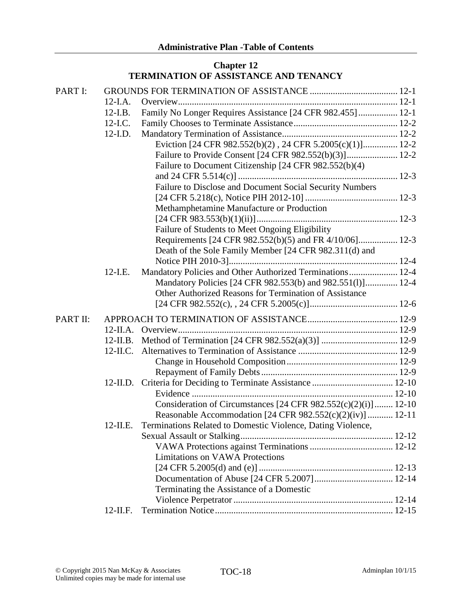# **Chapter 12 TERMINATION OF ASSISTANCE AND TENANCY**

| PART I:  |             |                                                                   |
|----------|-------------|-------------------------------------------------------------------|
|          | $12-I.A.$   |                                                                   |
|          | $12-I.B.$   | Family No Longer Requires Assistance [24 CFR 982.455]  12-1       |
|          | $12$ -I.C.  |                                                                   |
|          | $12$ -I.D.  |                                                                   |
|          |             | Eviction [24 CFR 982.552(b)(2), 24 CFR 5.2005(c)(1)] 12-2         |
|          |             |                                                                   |
|          |             | Failure to Document Citizenship [24 CFR 982.552(b)(4)             |
|          |             |                                                                   |
|          |             | Failure to Disclose and Document Social Security Numbers          |
|          |             |                                                                   |
|          |             | Methamphetamine Manufacture or Production                         |
|          |             |                                                                   |
|          |             | Failure of Students to Meet Ongoing Eligibility                   |
|          |             | Requirements [24 CFR 982.552(b)(5) and FR 4/10/06] 12-3           |
|          |             | Death of the Sole Family Member [24 CFR 982.311(d) and            |
|          |             |                                                                   |
|          | $12$ -I.E.  | Mandatory Policies and Other Authorized Terminations 12-4         |
|          |             | Mandatory Policies [24 CFR 982.553(b) and 982.551(l)] 12-4        |
|          |             | Other Authorized Reasons for Termination of Assistance            |
|          |             |                                                                   |
| PART II: |             |                                                                   |
|          |             |                                                                   |
|          | $12$ -II.B. |                                                                   |
|          | $12$ -II.C. |                                                                   |
|          |             |                                                                   |
|          |             |                                                                   |
|          |             |                                                                   |
|          |             |                                                                   |
|          |             | Consideration of Circumstances [24 CFR $982.552(c)(2)(i)$ ] 12-10 |
|          |             | Reasonable Accommodation [24 CFR 982.552(c)(2)(iv)]  12-11        |
|          | $12$ -II.E. | Terminations Related to Domestic Violence, Dating Violence,       |
|          |             |                                                                   |
|          |             |                                                                   |
|          |             | <b>Limitations on VAWA Protections</b>                            |
|          |             |                                                                   |
|          |             |                                                                   |
|          |             | Terminating the Assistance of a Domestic                          |
|          |             |                                                                   |
|          | 12-II.F.    |                                                                   |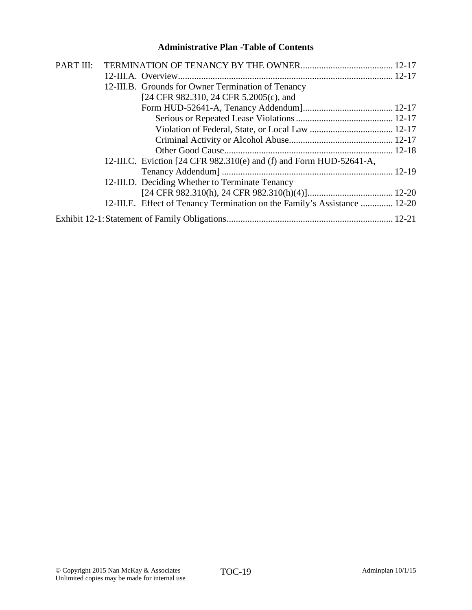| PART III: |                                                                           |  |
|-----------|---------------------------------------------------------------------------|--|
|           |                                                                           |  |
|           | 12-III.B. Grounds for Owner Termination of Tenancy                        |  |
|           | [24 CFR 982.310, 24 CFR 5.2005(c), and                                    |  |
|           |                                                                           |  |
|           |                                                                           |  |
|           |                                                                           |  |
|           |                                                                           |  |
|           |                                                                           |  |
|           | 12-III.C. Eviction [24 CFR 982.310(e) and (f) and Form HUD-52641-A,       |  |
|           |                                                                           |  |
|           | 12-III.D. Deciding Whether to Terminate Tenancy                           |  |
|           |                                                                           |  |
|           | 12-III.E. Effect of Tenancy Termination on the Family's Assistance  12-20 |  |
|           |                                                                           |  |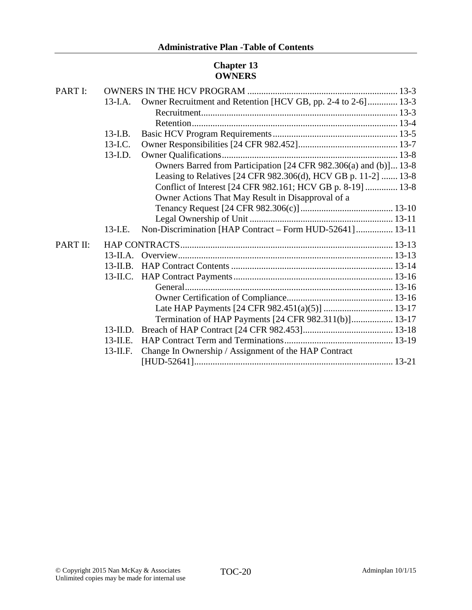# **Chapter 13 OWNERS**

| PART I:  |             |                                                                   |
|----------|-------------|-------------------------------------------------------------------|
|          | 13-I.A.     | Owner Recruitment and Retention [HCV GB, pp. 2-4 to 2-6] 13-3     |
|          |             |                                                                   |
|          |             |                                                                   |
|          | $13-LB$ .   |                                                                   |
|          | $13$ -I.C.  |                                                                   |
|          | $13$ -I.D.  |                                                                   |
|          |             | Owners Barred from Participation [24 CFR 982.306(a) and (b)] 13-8 |
|          |             | Leasing to Relatives [24 CFR 982.306(d), HCV GB p. 11-2]  13-8    |
|          |             | Conflict of Interest [24 CFR 982.161; HCV GB p. 8-19]  13-8       |
|          |             | Owner Actions That May Result in Disapproval of a                 |
|          |             |                                                                   |
|          |             |                                                                   |
|          | $13$ -I.E.  | Non-Discrimination [HAP Contract - Form HUD-52641] 13-11          |
| PART II: |             |                                                                   |
|          |             |                                                                   |
|          | $13$ -II.B. |                                                                   |
|          |             |                                                                   |
|          |             |                                                                   |
|          |             |                                                                   |
|          |             |                                                                   |
|          |             | Termination of HAP Payments [24 CFR 982.311(b)] 13-17             |
|          | $13$ -II.D. |                                                                   |
|          | $13$ -II.E. |                                                                   |
|          |             |                                                                   |
|          | $13$ -II.F. | Change In Ownership / Assignment of the HAP Contract              |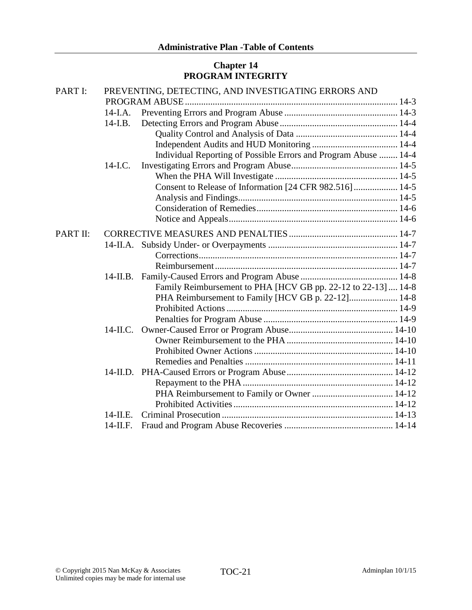# **Chapter 14 PROGRAM INTEGRITY**

| PART I:  | PREVENTING, DETECTING, AND INVESTIGATING ERRORS AND |                                                                 |  |  |
|----------|-----------------------------------------------------|-----------------------------------------------------------------|--|--|
|          |                                                     |                                                                 |  |  |
|          | 14-I.A.                                             |                                                                 |  |  |
|          | $14-I.B.$                                           |                                                                 |  |  |
|          |                                                     |                                                                 |  |  |
|          |                                                     |                                                                 |  |  |
|          |                                                     | Individual Reporting of Possible Errors and Program Abuse  14-4 |  |  |
|          | 14-I.C.                                             |                                                                 |  |  |
|          |                                                     |                                                                 |  |  |
|          |                                                     | Consent to Release of Information [24 CFR 982.516]  14-5        |  |  |
|          |                                                     |                                                                 |  |  |
|          |                                                     |                                                                 |  |  |
|          |                                                     |                                                                 |  |  |
| PART II: |                                                     |                                                                 |  |  |
|          |                                                     |                                                                 |  |  |
|          |                                                     |                                                                 |  |  |
|          |                                                     |                                                                 |  |  |
|          |                                                     |                                                                 |  |  |
|          |                                                     | Family Reimbursement to PHA [HCV GB pp. 22-12 to 22-13]  14-8   |  |  |
|          |                                                     | PHA Reimbursement to Family [HCV GB p. 22-12] 14-8              |  |  |
|          |                                                     |                                                                 |  |  |
|          |                                                     |                                                                 |  |  |
|          |                                                     |                                                                 |  |  |
|          |                                                     |                                                                 |  |  |
|          |                                                     |                                                                 |  |  |
|          |                                                     |                                                                 |  |  |
|          |                                                     |                                                                 |  |  |
|          |                                                     |                                                                 |  |  |
|          |                                                     |                                                                 |  |  |
|          |                                                     |                                                                 |  |  |
|          | $14$ -II E                                          |                                                                 |  |  |
|          | $14$ -II.F.                                         |                                                                 |  |  |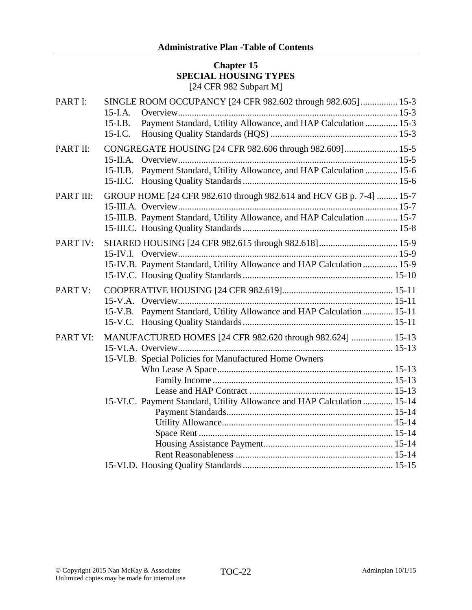### **Chapter 15 SPECIAL HOUSING TYPES** [24 CFR 982 Subpart M]

| PART I:   | SINGLE ROOM OCCUPANCY [24 CFR 982.602 through 982.605] 15-3<br>$15$ -I.A.                                                           |
|-----------|-------------------------------------------------------------------------------------------------------------------------------------|
|           | Payment Standard, Utility Allowance, and HAP Calculation  15-3<br>$15-LB$ .<br>$15$ -I.C.                                           |
| PART II:  | CONGREGATE HOUSING [24 CFR 982.606 through 982.609] 15-5<br>15-II.B. Payment Standard, Utility Allowance, and HAP Calculation  15-6 |
|           |                                                                                                                                     |
| PART III: | GROUP HOME [24 CFR 982.610 through 982.614 and HCV GB p. 7-4]  15-7                                                                 |
|           | 15-III.B. Payment Standard, Utility Allowance, and HAP Calculation  15-7                                                            |
| PART IV:  | 15-IV.B. Payment Standard, Utility Allowance and HAP Calculation  15-9                                                              |
| PART V:   | 15-V.B. Payment Standard, Utility Allowance and HAP Calculation  15-11                                                              |
| PART VI:  | MANUFACTURED HOMES [24 CFR 982.620 through 982.624]  15-13<br>15-VI.B. Special Policies for Manufactured Home Owners                |
|           | 15-VI.C. Payment Standard, Utility Allowance and HAP Calculation  15-14                                                             |
|           |                                                                                                                                     |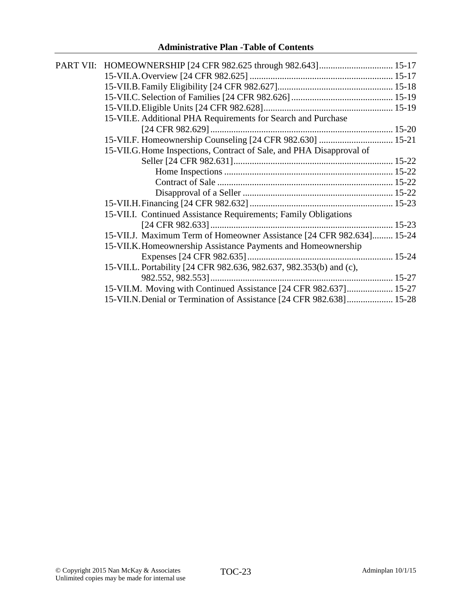| PART VII: HOMEOWNERSHIP [24 CFR 982.625 through 982.643] 15-17        |  |
|-----------------------------------------------------------------------|--|
|                                                                       |  |
|                                                                       |  |
|                                                                       |  |
|                                                                       |  |
| 15-VII.E. Additional PHA Requirements for Search and Purchase         |  |
|                                                                       |  |
| 15-VII.F. Homeownership Counseling [24 CFR 982.630]  15-21            |  |
| 15-VII.G. Home Inspections, Contract of Sale, and PHA Disapproval of  |  |
|                                                                       |  |
|                                                                       |  |
|                                                                       |  |
|                                                                       |  |
|                                                                       |  |
| 15-VII.I. Continued Assistance Requirements; Family Obligations       |  |
|                                                                       |  |
| 15-VII.J. Maximum Term of Homeowner Assistance [24 CFR 982.634] 15-24 |  |
| 15-VII.K. Homeownership Assistance Payments and Homeownership         |  |
|                                                                       |  |
| 15-VII.L. Portability [24 CFR 982.636, 982.637, 982.353(b) and (c),   |  |
|                                                                       |  |
| 15-VII.M. Moving with Continued Assistance [24 CFR 982.637] 15-27     |  |
| 15-VII.N. Denial or Termination of Assistance [24 CFR 982.638] 15-28  |  |
|                                                                       |  |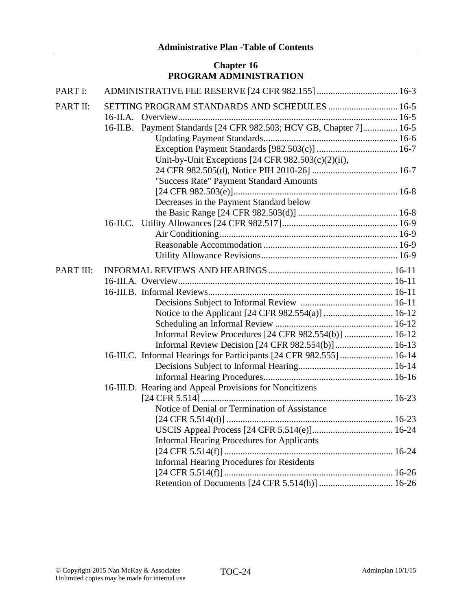# **Chapter 16 PROGRAM ADMINISTRATION**

| PART I:   |                                                                      |  |
|-----------|----------------------------------------------------------------------|--|
| PART II:  | SETTING PROGRAM STANDARDS AND SCHEDULES  16-5                        |  |
|           | 16-II.B. Payment Standards [24 CFR 982.503; HCV GB, Chapter 7] 16-5  |  |
|           |                                                                      |  |
|           |                                                                      |  |
|           | Unit-by-Unit Exceptions [24 CFR 982.503(c)(2)(ii),                   |  |
|           |                                                                      |  |
|           | "Success Rate" Payment Standard Amounts                              |  |
|           |                                                                      |  |
|           | Decreases in the Payment Standard below                              |  |
|           |                                                                      |  |
|           |                                                                      |  |
|           |                                                                      |  |
|           |                                                                      |  |
|           |                                                                      |  |
| PART III: |                                                                      |  |
|           |                                                                      |  |
|           |                                                                      |  |
|           |                                                                      |  |
|           |                                                                      |  |
|           |                                                                      |  |
|           | Informal Review Procedures [24 CFR 982.554(b)]  16-12                |  |
|           | Informal Review Decision [24 CFR 982.554(b)] 16-13                   |  |
|           | 16-III.C. Informal Hearings for Participants [24 CFR 982.555]  16-14 |  |
|           |                                                                      |  |
|           |                                                                      |  |
|           | 16-III.D. Hearing and Appeal Provisions for Noncitizens              |  |
|           |                                                                      |  |
|           | Notice of Denial or Termination of Assistance                        |  |
|           |                                                                      |  |
|           |                                                                      |  |
|           | <b>Informal Hearing Procedures for Applicants</b>                    |  |
|           |                                                                      |  |
|           | <b>Informal Hearing Procedures for Residents</b>                     |  |
|           |                                                                      |  |
|           |                                                                      |  |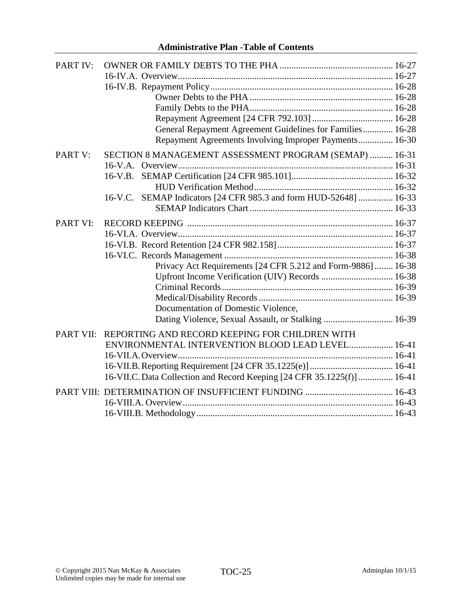| PART IV:         |                                                                         |  |
|------------------|-------------------------------------------------------------------------|--|
|                  |                                                                         |  |
|                  |                                                                         |  |
|                  |                                                                         |  |
|                  |                                                                         |  |
|                  |                                                                         |  |
|                  | General Repayment Agreement Guidelines for Families 16-28               |  |
|                  | Repayment Agreements Involving Improper Payments 16-30                  |  |
| PART V:          | SECTION 8 MANAGEMENT ASSESSMENT PROGRAM (SEMAP)  16-31                  |  |
|                  |                                                                         |  |
|                  |                                                                         |  |
|                  |                                                                         |  |
|                  | 16-V.C. SEMAP Indicators [24 CFR 985.3 and form HUD-52648]  16-33       |  |
|                  |                                                                         |  |
| <b>PART VI:</b>  |                                                                         |  |
|                  |                                                                         |  |
|                  |                                                                         |  |
|                  |                                                                         |  |
|                  | Privacy Act Requirements [24 CFR 5.212 and Form-9886]  16-38            |  |
|                  | Upfront Income Verification (UIV) Records  16-38                        |  |
|                  |                                                                         |  |
|                  |                                                                         |  |
|                  | Documentation of Domestic Violence,                                     |  |
|                  | Dating Violence, Sexual Assault, or Stalking  16-39                     |  |
| <b>PART VII:</b> | REPORTING AND RECORD KEEPING FOR CHILDREN WITH                          |  |
|                  | ENVIRONMENTAL INTERVENTION BLOOD LEAD LEVEL 16-41                       |  |
|                  |                                                                         |  |
|                  |                                                                         |  |
|                  | 16-VII.C. Data Collection and Record Keeping [24 CFR 35.1225(f)]  16-41 |  |
|                  |                                                                         |  |
|                  |                                                                         |  |
|                  |                                                                         |  |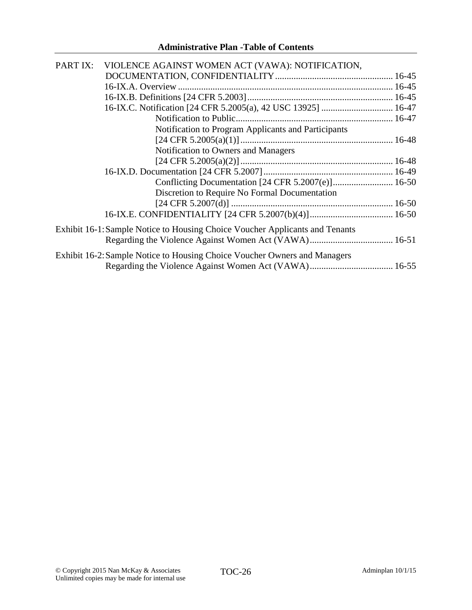| PART IX: | VIOLENCE AGAINST WOMEN ACT (VAWA): NOTIFICATION,                             |  |
|----------|------------------------------------------------------------------------------|--|
|          |                                                                              |  |
|          |                                                                              |  |
|          |                                                                              |  |
|          |                                                                              |  |
|          |                                                                              |  |
|          | Notification to Program Applicants and Participants                          |  |
|          |                                                                              |  |
|          | Notification to Owners and Managers                                          |  |
|          |                                                                              |  |
|          |                                                                              |  |
|          |                                                                              |  |
|          | Discretion to Require No Formal Documentation                                |  |
|          |                                                                              |  |
|          |                                                                              |  |
|          | Exhibit 16-1: Sample Notice to Housing Choice Voucher Applicants and Tenants |  |
|          |                                                                              |  |
|          | Exhibit 16-2: Sample Notice to Housing Choice Voucher Owners and Managers    |  |
|          |                                                                              |  |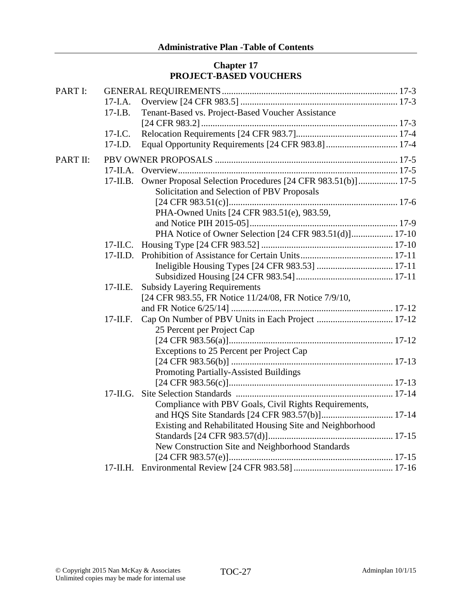# **Chapter 17 PROJECT-BASED VOUCHERS**

| PART I:         |             |                                                             |
|-----------------|-------------|-------------------------------------------------------------|
|                 | $17-I.A.$   |                                                             |
|                 | $17-I.B.$   | Tenant-Based vs. Project-Based Voucher Assistance           |
|                 |             |                                                             |
|                 | $17 - I.C.$ |                                                             |
|                 | $17$ -I.D.  |                                                             |
| <b>PART II:</b> |             |                                                             |
|                 | $17$ -II.A. |                                                             |
|                 | $17$ -II.B. | Owner Proposal Selection Procedures [24 CFR 983.51(b)] 17-5 |
|                 |             | Solicitation and Selection of PBV Proposals                 |
|                 |             |                                                             |
|                 |             | PHA-Owned Units [24 CFR 983.51(e), 983.59,                  |
|                 |             |                                                             |
|                 |             | PHA Notice of Owner Selection [24 CFR 983.51(d)] 17-10      |
|                 | $17$ -II.C. |                                                             |
|                 |             |                                                             |
|                 |             |                                                             |
|                 |             |                                                             |
|                 | $17$ -II.E. | <b>Subsidy Layering Requirements</b>                        |
|                 |             | [24 CFR 983.55, FR Notice 11/24/08, FR Notice 7/9/10,       |
|                 |             |                                                             |
|                 | $17$ -II.F. |                                                             |
|                 |             | 25 Percent per Project Cap                                  |
|                 |             |                                                             |
|                 |             | Exceptions to 25 Percent per Project Cap                    |
|                 |             |                                                             |
|                 |             | Promoting Partially-Assisted Buildings                      |
|                 |             |                                                             |
|                 | $17$ -II.G. |                                                             |
|                 |             | Compliance with PBV Goals, Civil Rights Requirements,       |
|                 |             |                                                             |
|                 |             | Existing and Rehabilitated Housing Site and Neighborhood    |
|                 |             |                                                             |
|                 |             | New Construction Site and Neighborhood Standards            |
|                 |             |                                                             |
|                 |             |                                                             |
|                 |             |                                                             |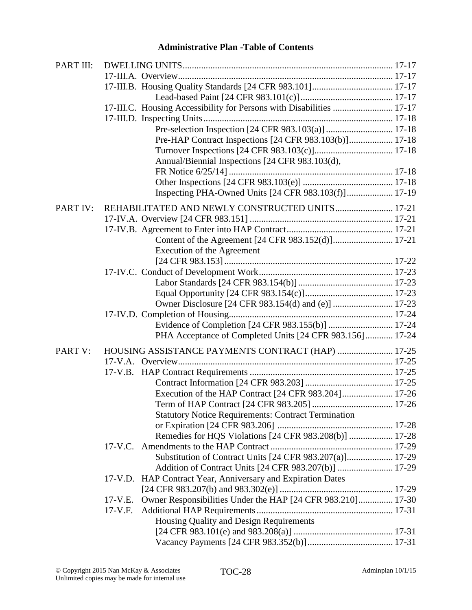| PART III: |                                                                          |  |
|-----------|--------------------------------------------------------------------------|--|
|           |                                                                          |  |
|           |                                                                          |  |
|           |                                                                          |  |
|           | 17-III.C. Housing Accessibility for Persons with Disabilities  17-17     |  |
|           |                                                                          |  |
|           |                                                                          |  |
|           | Pre-HAP Contract Inspections [24 CFR 983.103(b)] 17-18                   |  |
|           |                                                                          |  |
|           | Annual/Biennial Inspections [24 CFR 983.103(d),                          |  |
|           |                                                                          |  |
|           |                                                                          |  |
|           | Inspecting PHA-Owned Units [24 CFR 983.103(f)] 17-19                     |  |
| PART IV:  | REHABILITATED AND NEWLY CONSTRUCTED UNITS 17-21                          |  |
|           |                                                                          |  |
|           |                                                                          |  |
|           | Content of the Agreement [24 CFR 983.152(d)] 17-21                       |  |
|           | <b>Execution of the Agreement</b>                                        |  |
|           |                                                                          |  |
|           |                                                                          |  |
|           |                                                                          |  |
|           |                                                                          |  |
|           |                                                                          |  |
|           |                                                                          |  |
|           | Evidence of Completion [24 CFR 983.155(b)]  17-24                        |  |
|           | PHA Acceptance of Completed Units [24 CFR 983.156] 17-24                 |  |
| PART V:   | HOUSING ASSISTANCE PAYMENTS CONTRACT (HAP)  17-25                        |  |
|           |                                                                          |  |
|           |                                                                          |  |
|           |                                                                          |  |
|           | Execution of the HAP Contract [24 CFR 983.204] 17-26                     |  |
|           |                                                                          |  |
|           | <b>Statutory Notice Requirements: Contract Termination</b>               |  |
|           |                                                                          |  |
|           | Remedies for HQS Violations [24 CFR 983.208(b)]  17-28                   |  |
|           |                                                                          |  |
|           | Substitution of Contract Units [24 CFR 983.207(a)] 17-29                 |  |
|           | Addition of Contract Units [24 CFR 983.207(b)]  17-29                    |  |
|           | 17-V.D. HAP Contract Year, Anniversary and Expiration Dates              |  |
|           |                                                                          |  |
|           | Owner Responsibilities Under the HAP [24 CFR 983.210] 17-30<br>$17-V.E.$ |  |
|           | $17-V.F.$                                                                |  |
|           | Housing Quality and Design Requirements                                  |  |
|           |                                                                          |  |
|           |                                                                          |  |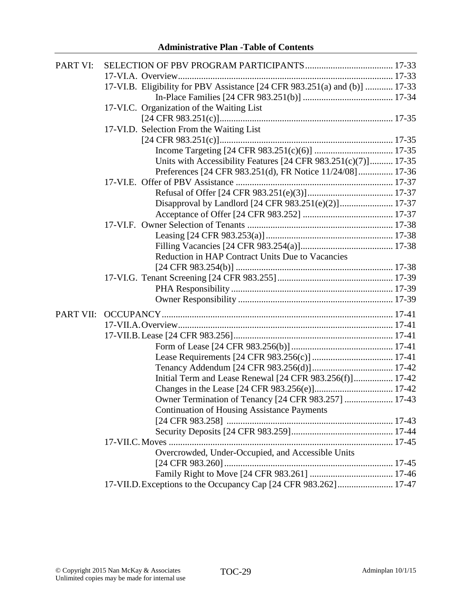| PART VI:  |                                                                            |  |
|-----------|----------------------------------------------------------------------------|--|
|           |                                                                            |  |
|           | 17-VI.B. Eligibility for PBV Assistance [24 CFR 983.251(a) and (b)]  17-33 |  |
|           |                                                                            |  |
|           | 17-VI.C. Organization of the Waiting List                                  |  |
|           |                                                                            |  |
|           | 17-VI.D. Selection From the Waiting List                                   |  |
|           |                                                                            |  |
|           |                                                                            |  |
|           | Units with Accessibility Features [24 CFR 983.251(c)(7)] 17-35             |  |
|           | Preferences [24 CFR 983.251(d), FR Notice 11/24/08] 17-36                  |  |
|           |                                                                            |  |
|           |                                                                            |  |
|           | Disapproval by Landlord [24 CFR 983.251(e)(2)] 17-37                       |  |
|           |                                                                            |  |
|           |                                                                            |  |
|           |                                                                            |  |
|           |                                                                            |  |
|           | Reduction in HAP Contract Units Due to Vacancies                           |  |
|           |                                                                            |  |
|           |                                                                            |  |
|           |                                                                            |  |
|           |                                                                            |  |
| PART VII: |                                                                            |  |
|           |                                                                            |  |
|           |                                                                            |  |
|           |                                                                            |  |
|           |                                                                            |  |
|           |                                                                            |  |
|           |                                                                            |  |
|           | Initial Term and Lease Renewal [24 CFR 983.256(f)] 17-42                   |  |
|           |                                                                            |  |
|           | Owner Termination of Tenancy [24 CFR 983.257]  17-43                       |  |
|           | <b>Continuation of Housing Assistance Payments</b>                         |  |
|           |                                                                            |  |
|           |                                                                            |  |
|           |                                                                            |  |
|           | Overcrowded, Under-Occupied, and Accessible Units                          |  |
|           |                                                                            |  |
|           |                                                                            |  |
|           | 17-VII.D. Exceptions to the Occupancy Cap [24 CFR 983.262] 17-47           |  |